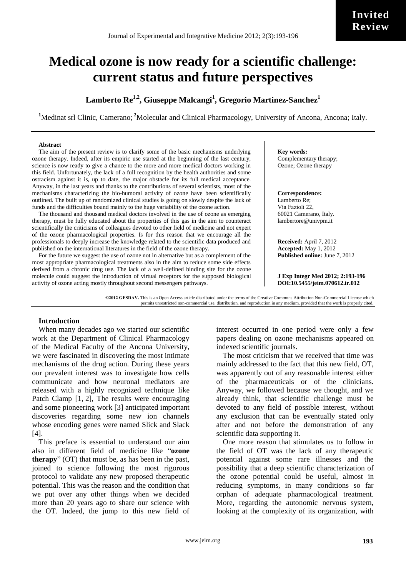# **Medical ozone is now ready for a scientific challenge: current status and future perspectives**

**Lamberto Re1,2, Giuseppe Malcangi<sup>1</sup> , Gregorio Martinez-Sanchez<sup>1</sup>**

<sup>1</sup>Medinat srl Clinic, Camerano; <sup>2</sup>Molecular and Clinical Pharmacology, University of Ancona, Ancona; Italy.

## **Abstract**

The aim of the present review is to clarify some of the basic mechanisms underlying ozone therapy. Indeed, after its empiric use started at the beginning of the last century, science is now ready to give a chance to the more and more medical doctors working in this field. Unfortunately, the lack of a full recognition by the health authorities and some ostracism against it is, up to date, the major obstacle for its full medical acceptance. Anyway, in the last years and thanks to the contributions of several scientists, most of the mechanisms characterizing the bio-humoral activity of ozone have been scientifically outlined. The built up of randomized clinical studies is going on slowly despite the lack of funds and the difficulties bound mainly to the huge variability of the ozone action.

The thousand and thousand medical doctors involved in the use of ozone as emerging therapy, must be fully educated about the properties of this gas in the aim to counteract scientifically the criticisms of colleagues devoted to other field of medicine and not expert of the ozone pharmacological properties. Is for this reason that we encourage all the professionals to deeply increase the knowledge related to the scientific data produced and published on the international literatures in the field of the ozone therapy.

For the future we suggest the use of ozone not in alternative but as a complement of the most appropriate pharmacological treatments also in the aim to reduce some side effects derived from a chronic drug use. The lack of a well-defined binding site for the ozone molecule could suggest the introduction of virtual receptors for the supposed biological activity of ozone acting mostly throughout second messengers pathways.

**Key words:**  Complementary therapy; Ozone; Ozone therapy

**Correspondence:**  Lamberto Re; Vía Fazioli 22, 60021 Camerano, Italy. lambertore@univpm.it

**Received:** April 7, 2012 **Accepted:** May 1, 2012 **Published online:** June 7, 2012

**J Exp Integr Med 2012; 2:193-196 DOI:10.5455/jeim.070612.ir.012**

**©2012 GESDAV.** This is an Open Access article distributed under the terms of the Creative Commons Attribution Non-Commercial License which permits unrestricted non-commercial use, distribution, and reproduction in any medium, provided that the work is properly cited.

## **Introduction**

When many decades ago we started our scientific work at the Department of Clinical Pharmacology of the Medical Faculty of the Ancona University, we were fascinated in discovering the most intimate mechanisms of the drug action. During these years our prevalent interest was to investigate how cells communicate and how neuronal mediators are released with a highly recognized technique like Patch Clamp [1, 2], The results were encouraging and some pioneering work [3] anticipated important discoveries regarding some new ion channels whose encoding genes were named Slick and Slack [4].

This preface is essential to understand our aim also in different field of medicine like "**ozone therapy**" (OT) that must be, as has been in the past, joined to science following the most rigorous protocol to validate any new proposed therapeutic potential. This was the reason and the condition that we put over any other things when we decided more than 20 years ago to share our science with the OT. Indeed, the jump to this new field of interest occurred in one period were only a few papers dealing on ozone mechanisms appeared on indexed scientific journals.

The most criticism that we received that time was mainly addressed to the fact that this new field, OT, was apparently out of any reasonable interest either of the pharmaceuticals or of the clinicians. Anyway, we followed because we thought, and we already think, that scientific challenge must be devoted to any field of possible interest, without any exclusion that can be eventually stated only after and not before the demonstration of any scientific data supporting it.

One more reason that stimulates us to follow in the field of OT was the lack of any therapeutic potential against some rare illnesses and the possibility that a deep scientific characterization of the ozone potential could be useful, almost in reducing symptoms, in many conditions so far orphan of adequate pharmacological treatment. More, regarding the autonomic nervous system, looking at the complexity of its organization, with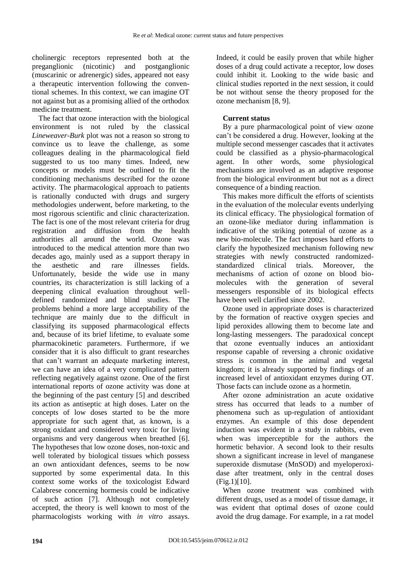cholinergic receptors represented both at the preganglionic (nicotinic) and postganglionic (muscarinic or adrenergic) sides, appeared not easy a therapeutic intervention following the conventional schemes. In this context, we can imagine OT not against but as a promising allied of the orthodox medicine treatment.

The fact that ozone interaction with the biological environment is not ruled by the classical *Lineweaver-Burk* plot was not a reason so strong to convince us to leave the challenge, as some colleagues dealing in the pharmacological field suggested to us too many times. Indeed, new concepts or models must be outlined to fit the conditioning mechanisms described for the ozone activity. The pharmacological approach to patients is rationally conducted with drugs and surgery methodologies underwent, before marketing, to the most rigorous scientific and clinic characterization. The fact is one of the most relevant criteria for drug registration and diffusion from the health authorities all around the world. Ozone was introduced to the medical attention more than two decades ago, mainly used as a support therapy in the aesthetic and rare illnesses fields. Unfortunately, beside the wide use in many countries, its characterization is still lacking of a deepening clinical evaluation throughout welldefined randomized and blind studies. The problems behind a more large acceptability of the technique are mainly due to the difficult in classifying its supposed pharmacological effects and, because of its brief lifetime, to evaluate some pharmacokinetic parameters. Furthermore, if we consider that it is also difficult to grant researches that can't warrant an adequate marketing interest, we can have an idea of a very complicated pattern reflecting negatively against ozone. One of the first international reports of ozone activity was done at the beginning of the past century [5] and described its action as antiseptic at high doses. Later on the concepts of low doses started to be the more appropriate for such agent that, as known, is a strong oxidant and considered very toxic for living organisms and very dangerous when breathed [6]. The hypotheses that low ozone doses, non-toxic and well tolerated by biological tissues which possess an own antioxidant defences, seems to be now supported by some experimental data. In this context some works of the toxicologist Edward Calabrese concerning hormesis could be indicative of such action [7]. Although not completely accepted, the theory is well known to most of the pharmacologists working with *in vitro* assays.

Indeed, it could be easily proven that while higher doses of a drug could activate a receptor, low doses could inhibit it. Looking to the wide basic and clinical studies reported in the next session, it could be not without sense the theory proposed for the ozone mechanism [8, 9].

## **Current status**

By a pure pharmacological point of view ozone can't be considered a drug. However, looking at the multiple second messenger cascades that it activates could be classified as a physio-pharmacological agent. In other words, some physiological mechanisms are involved as an adaptive response from the biological environment but not as a direct consequence of a binding reaction.

This makes more difficult the efforts of scientists in the evaluation of the molecular events underlying its clinical efficacy. The physiological formation of an ozone-like mediator during inflammation is indicative of the striking potential of ozone as a new bio-molecule. The fact imposes hard efforts to clarify the hypothesized mechanism following new strategies with newly constructed randomizedstandardized clinical trials. Moreover, the mechanisms of action of ozone on blood biomolecules with the generation of several messengers responsible of its biological effects have been well clarified since 2002.

Ozone used in appropriate doses is characterized by the formation of reactive oxygen species and lipid peroxides allowing them to become late and long-lasting messengers. The paradoxical concept that ozone eventually induces an antioxidant response capable of reversing a chronic oxidative stress is common in the animal and vegetal kingdom; it is already supported by findings of an increased level of antioxidant enzymes during OT. Those facts can include ozone as a hormetin.

After ozone administration an acute oxidative stress has occurred that leads to a number of phenomena such as up-regulation of antioxidant enzymes. An example of this dose dependent induction was evident in a study in rabbits, even when was imperceptible for the authors the hormetic behavior. A second look to their results shown a significant increase in level of manganese superoxide dismutase (MnSOD) and myeloperoxidase after treatment, only in the central doses (Fig.1)[10].

When ozone treatment was combined with different drugs, used as a model of tissue damage, it was evident that optimal doses of ozone could avoid the drug damage. For example, in a rat model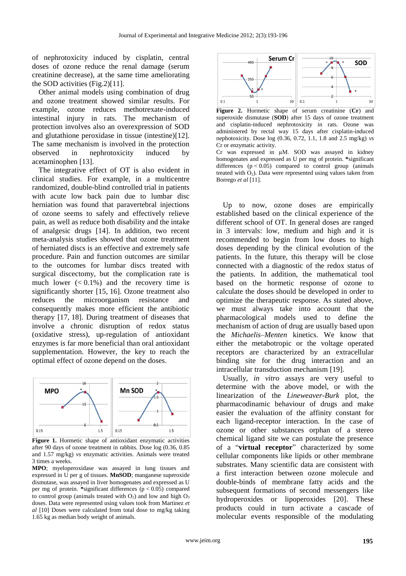of nephrotoxicity induced by cisplatin, central doses of ozone reduce the renal damage (serum creatinine decrease), at the same time ameliorating the SOD activities (Fig.2)[11].

Other animal models using combination of drug and ozone treatment showed similar results. For example, ozone reduces methotrexate-induced intestinal injury in rats. The mechanism of protection involves also an overexpression of SOD and glutathione peroxidase in tissue (intestine)[12]. The same mechanism is involved in the protection observed in nephrotoxicity induced by acetaminophen [13].

The integrative effect of OT is also evident in clinical studies. For example, in a multicentre randomized, double-blind controlled trial in patients with acute low back pain due to lumbar disc herniation was found that paravertebral injections of ozone seems to safely and effectively relieve pain, as well as reduce both disability and the intake of analgesic drugs [14]. In addition, two recent meta-analysis studies showed that ozone treatment of herniated discs is an effective and extremely safe procedure. Pain and function outcomes are similar to the outcomes for lumbar discs treated with surgical discectomy, but the complication rate is much lower  $( $0.1\%$ )$  and the recovery time is significantly shorter [15, 16]. Ozone treatment also reduces the microorganism resistance and consequently makes more efficient the antibiotic therapy [17, 18]. During treatment of diseases that involve a chronic disruption of redox status (oxidative stress), up-regulation of antioxidant enzymes is far more beneficial than oral antioxidant supplementation. However, the key to reach the optimal effect of ozone depend on the doses.



**Figure 1.** Hormetic shape of antioxidant enzymatic activities after 90 days of ozone treatment in rabbits. Dose log (0.36, 0.85 and 1.57 mg/kg) *vs* enzymatic activities. Animals were treated 3 times a weeks.

**MPO**; myeloperoxidase was assayed in lung tissues and expressed in U per g of tissues. **MnSOD**; manganese superoxide dismutase, was assayed in liver homogenates and expressed as U per mg of protein. **\***significant differences (p < 0.05) compared to control group (animals treated with  $O_2$ ) and low and high  $O_3$ doses. Data were represented using values took from Martinez *et al* [10] Doses were calculated from total dose to mg/kg taking 1.65 kg as median body weight of animals.



**Figure 2.** Hormetic shape of serum creatinine (**Cr**) and superoxide dismutase (**SOD**) after 15 days of ozone treatment and cisplatin-induced nephrotoxicity in rats. Ozone was administered by rectal way 15 days after cisplatin-induced nephotoxicity. Dose log (0.36, 0.72, 1.1, 1.8 and 2.5 mg/kg) *vs* Cr or enzymatic activity.

Cr was expressed in µM. SOD was assayed in kidney homogenates and expressed as U per mg of protein. **\***significant differences  $(p < 0.05)$  compared to control group (animals treated with  $O_2$ ). Data were represented using values taken from Borrego *et al* [11].

Up to now, ozone doses are empirically established based on the clinical experience of the different school of OT. In general doses are ranged in 3 intervals: low, medium and high and it is recommended to begin from low doses to high doses depending by the clinical evolution of the patients. In the future, this therapy will be close connected with a diagnostic of the redox status of the patients. In addition, the mathematical tool based on the hormetic response of ozone to calculate the doses should be developed in order to optimize the therapeutic response. As stated above, we must always take into account that the pharmacological models used to define the mechanism of action of drug are usually based upon the *Michaelis–Menten* kinetics. We know that either the metabotropic or the voltage operated receptors are characterized by an extracellular binding site for the drug interaction and an intracellular transduction mechanism [19].

Usually, *in vitro* assays are very useful to determine with the above model, or with the linearization of the *Lineweaver-Burk* plot, the pharmacodinamic behaviour of drugs and make easier the evaluation of the affinity constant for each ligand-receptor interaction. In the case of ozone or other substances orphan of a stereo chemical ligand site we can postulate the presence of a "**virtual receptor**" characterized by some cellular components like lipids or other membrane substrates. Many scientific data are consistent with a first interaction between ozone molecule and double-binds of membrane fatty acids and the subsequent formations of second messengers like hydroperoxides or lipoperoxides [20]. These products could in turn activate a cascade of molecular events responsible of the modulating